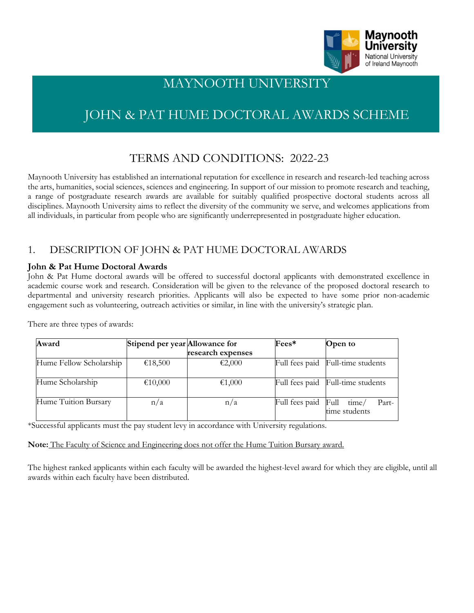

# MAYNOOTH UNIVERSITY

# JOHN & PAT HUME DOCTORAL AWARDS SCHEME

# TERMS AND CONDITIONS: 2022-23

Maynooth University has established an international reputation for excellence in research and research-led teaching across the arts, humanities, social sciences, sciences and engineering. In support of our mission to promote research and teaching, a range of postgraduate research awards are available for suitably qualified prospective doctoral students across all disciplines. Maynooth University aims to reflect the diversity of the community we serve, and welcomes applications from all individuals, in particular from people who are significantly underrepresented in postgraduate higher education.

# 1. DESCRIPTION OF JOHN & PAT HUME DOCTORAL AWARDS

#### **John & Pat Hume Doctoral Awards**

John & Pat Hume doctoral awards will be offered to successful doctoral applicants with demonstrated excellence in academic course work and research. Consideration will be given to the relevance of the proposed doctoral research to departmental and university research priorities. Applicants will also be expected to have some prior non-academic engagement such as volunteering, outreach activities or similar, in line with the university's strategic plan.

| Award                   | Stipend per year Allowance for | research expenses | Fees*          | <b>Open</b> to                          |
|-------------------------|--------------------------------|-------------------|----------------|-----------------------------------------|
| Hume Fellow Scholarship | €18,500                        | €2,000            |                | Full fees paid Full-time students       |
| Hume Scholarship        | €10,000                        | €1,000            |                | Full fees paid Full-time students       |
| Hume Tuition Bursary    | n/a                            | n/a               | Full fees paid | Full<br>Part-<br>time/<br>time students |

There are three types of awards:

\*Successful applicants must the pay student levy in accordance with University regulations.

**Note:** The Faculty of Science and Engineering does not offer the Hume Tuition Bursary award.

The highest ranked applicants within each faculty will be awarded the highest-level award for which they are eligible, until all awards within each faculty have been distributed.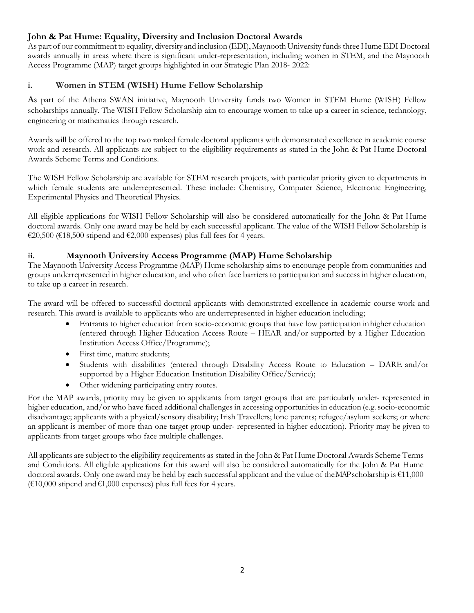#### **John & Pat Hume: Equality, Diversity and Inclusion Doctoral Awards**

As part of our commitment to equality, diversity and inclusion (EDI), Maynooth University funds three Hume EDI Doctoral awards annually in areas where there is significant under-representation, including women in STEM, and the Maynooth Access Programme (MAP) target groups highlighted in our Strategic Plan 2018- 2022:

#### **i. Women in STEM (WISH) Hume Fellow Scholarship**

**A**s part of the Athena SWAN initiative, Maynooth University funds two Women in STEM Hume (WISH) Fellow scholarships annually. The WISH Fellow Scholarship aim to encourage women to take up a career in science, technology, engineering or mathematics through research.

Awards will be offered to the top two ranked female doctoral applicants with demonstrated excellence in academic course work and research. All applicants are subject to the eligibility requirements as stated in the John & Pat Hume Doctoral Awards Scheme Terms and Conditions.

The WISH Fellow Scholarship are available for STEM research projects, with particular priority given to departments in which female students are underrepresented. These include: Chemistry, Computer Science, Electronic Engineering, Experimental Physics and Theoretical Physics.

All eligible applications for WISH Fellow Scholarship will also be considered automatically for the John & Pat Hume doctoral awards. Only one award may be held by each successful applicant. The value of the WISH Fellow Scholarship is €20,500 (€18,500 stipend and €2,000 expenses) plus full fees for 4 years.

#### **ii. Maynooth University Access Programme (MAP) Hume Scholarship**

The Maynooth University Access Programme (MAP) Hume scholarship aims to encourage people from communities and groups underrepresented in higher education, and who often face barriers to participation and success in higher education, to take up a career in research.

The award will be offered to successful doctoral applicants with demonstrated excellence in academic course work and research. This award is available to applicants who are underrepresented in higher education including;

- Entrants to higher education from socio-economic groups that have low participation inhigher education (entered through Higher Education Access Route – HEAR and/or supported by a Higher Education Institution Access Office/Programme);
- First time, mature students;
- Students with disabilities (entered through Disability Access Route to Education DARE and/or supported by a Higher Education Institution Disability Office/Service);
- Other widening participating entry routes.

For the MAP awards, priority may be given to applicants from target groups that are particularly under- represented in higher education, and/or who have faced additional challenges in accessing opportunities in education (e.g. socio-economic disadvantage; applicants with a physical/sensory disability; Irish Travellers; lone parents; refugee/asylum seekers; or where an applicant is member of more than one target group under- represented in higher education). Priority may be given to applicants from target groups who face multiple challenges.

All applicants are subject to the eligibility requirements as stated in the John & Pat Hume Doctoral Awards Scheme Terms and Conditions. All eligible applications for this award will also be considered automatically for the John & Pat Hume doctoral awards. Only one award may be held by each successful applicant and the value of the MAP scholarship is  $\epsilon$ 11,000 (€10,000 stipend and €1,000 expenses) plus full fees for 4 years.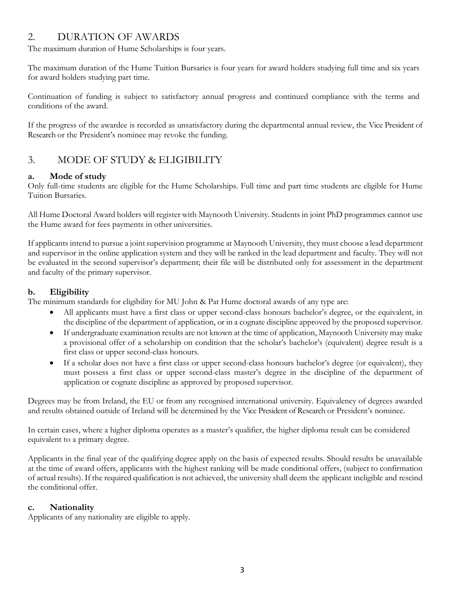# 2. DURATION OF AWARDS

The maximum duration of Hume Scholarships is four years.

The maximum duration of the Hume Tuition Bursaries is four years for award holders studying full time and six years for award holders studying part time.

Continuation of funding is subject to satisfactory annual progress and continued compliance with the terms and conditions of the award.

If the progress of the awardee is recorded as unsatisfactory during the departmental annual review, the Vice President of Research or the President's nominee may revoke the funding.

# 3. MODE OF STUDY & ELIGIBILITY

# **a. Mode of study**

Only full-time students are eligible for the Hume Scholarships. Full time and part time students are eligible for Hume Tuition Bursaries.

All Hume Doctoral Award holders will register with Maynooth University. Students in joint PhD programmes cannot use the Hume award for fees payments in other universities.

If applicants intend to pursue a joint supervision programme at Maynooth University, they must choose a lead department and supervisor in the online application system and they will be ranked in the lead department and faculty. They will not be evaluated in the second supervisor's department; their file will be distributed only for assessment in the department and faculty of the primary supervisor.

### **b. Eligibility**

The minimum standards for eligibility for MU John & Pat Hume doctoral awards of any type are:

- All applicants must have a first class or upper second-class honours bachelor's degree, or the equivalent, in the discipline of the department of application, or in a cognate discipline approved by the proposed supervisor.
- If undergraduate examination results are not known at the time of application, Maynooth University may make a provisional offer of a scholarship on condition that the scholar's bachelor's (equivalent) degree result is a first class or upper second-class honours.
- If a scholar does not have a first class or upper second-class honours bachelor's degree (or equivalent), they must possess a first class or upper second-class master's degree in the discipline of the department of application or cognate discipline as approved by proposed supervisor.

Degrees may be from Ireland, the EU or from any recognised international university. Equivalency of degrees awarded and results obtained outside of Ireland will be determined by the Vice President of Research or President's nominee.

In certain cases, where a higher diploma operates as a master's qualifier, the higher diploma result can be considered equivalent to a primary degree.

Applicants in the final year of the qualifying degree apply on the basis of expected results. Should results be unavailable at the time of award offers, applicants with the highest ranking will be made conditional offers, (subject to confirmation of actual results). If the required qualification is not achieved, the university shall deem the applicant ineligible and rescind the conditional offer.

### **c. Nationality**

Applicants of any nationality are eligible to apply.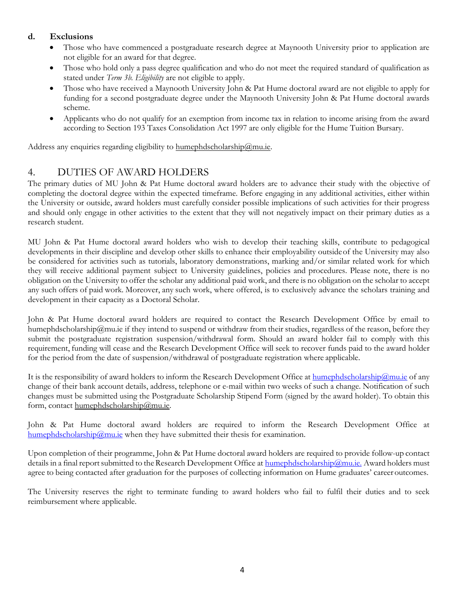#### **d. Exclusions**

- Those who have commenced a postgraduate research degree at Maynooth University prior to application are not eligible for an award for that degree.
- Those who hold only a pass degree qualification and who do not meet the required standard of qualification as stated under *Term 3b. Eligibility* are not eligible to apply.
- Those who have received a Maynooth University John & Pat Hume doctoral award are not eligible to apply for funding for a second postgraduate degree under the Maynooth University John & Pat Hume doctoral awards scheme.
- Applicants who do not qualify for an exemption from income tax in relation to income arising from the award according to Section 193 Taxes Consolidation Act 1997 are only eligible for the Hume Tuition Bursary.

Address any enquiries regarding eligibility to [humephdscholarship@mu.ie.](mailto:humephdscholarship@mu.ie)

### 4. DUTIES OF AWARD HOLDERS

The primary duties of MU John & Pat Hume doctoral award holders are to advance their study with the objective of completing the doctoral degree within the expected timeframe. Before engaging in any additional activities, either within the University or outside, award holders must carefully consider possible implications of such activities for their progress and should only engage in other activities to the extent that they will not negatively impact on their primary duties as a research student.

MU John & Pat Hume doctoral award holders who wish to develop their teaching skills, contribute to pedagogical developments in their discipline and develop other skills to enhance their employability outsideof the University may also be considered for activities such as tutorials, laboratory demonstrations, marking and/or similar related work for which they will receive additional payment subject to University guidelines, policies and procedures. Please note, there is no obligation on the University to offer the scholar any additional paid work, and there is no obligation on the scholar to accept any such offers of paid work. Moreover, any such work, where offered, is to exclusively advance the scholars training and development in their capacity as a Doctoral Scholar.

John & Pat Hume doctoral award holders are required to contact the Research Development Office by email to humephdscholarship@mu.ie if they intend to suspend or withdraw from their studies, regardless of the reason, before they submit the postgraduate registration suspension/withdrawal form. Should an award holder fail to comply with this requirement, funding will cease and the Research Development Office will seek to recover funds paid to the award holder for the period from the date of suspension/withdrawal of postgraduate registration where applicable.

It is the responsibility of award holders to inform the Research Development Office a[t humephdscholarship@mu.ie](mailto:humephdscholarship@mu.ie) of any change of their bank account details, address, telephone or e-mail within two weeks of such a change. Notification of such changes must be submitted using the Postgraduate Scholarship Stipend Form (signed by the award holder). To obtain this form, contact [humephdscholarship@mu.ie.](mailto:humephdscholarship@mu.ie)

John & Pat Hume doctoral award holders are required to inform the Research Development Office at [humephdscholarship@mu.ie](mailto:humephdscholarship@mu.ie) when they have submitted their thesis for examination.

Upon completion of their programme, John & Pat Hume doctoral award holders are required to provide follow-up contact details in a final report submitted to the Research Development Office a[t humephdscholarship@mu.ie.](mailto:humephdscholarship@mu.ie.) Award holders must agree to being contacted after graduation for the purposes of collecting information on Hume graduates' career outcomes.

The University reserves the right to terminate funding to award holders who fail to fulfil their duties and to seek reimbursement where applicable.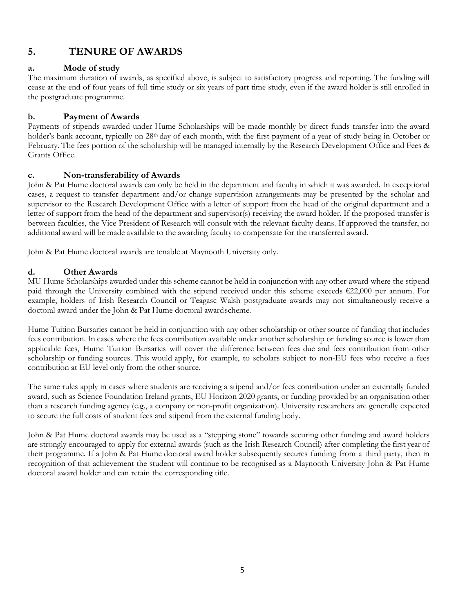# **5. TENURE OF AWARDS**

#### **a. Mode of study**

The maximum duration of awards, as specified above, is subject to satisfactory progress and reporting. The funding will cease at the end of four years of full time study or six years of part time study, even if the award holder is still enrolled in the postgraduate programme.

#### **b. Payment of Awards**

Payments of stipends awarded under Hume Scholarships will be made monthly by direct funds transfer into the award holder's bank account, typically on 28th day of each month, with the first payment of a year of study being in October or February. The fees portion of the scholarship will be managed internally by the Research Development Office and Fees & Grants Office.

#### **c. Non-transferability of Awards**

John & Pat Hume doctoral awards can only be held in the department and faculty in which it was awarded. In exceptional cases, a request to transfer department and/or change supervision arrangements may be presented by the scholar and supervisor to the Research Development Office with a letter of support from the head of the original department and a letter of support from the head of the department and supervisor(s) receiving the award holder. If the proposed transfer is between faculties, the Vice President of Research will consult with the relevant faculty deans. If approved the transfer, no additional award will be made available to the awarding faculty to compensate for the transferred award.

John & Pat Hume doctoral awards are tenable at Maynooth University only.

#### **d. Other Awards**

MU Hume Scholarships awarded under this scheme cannot be held in conjunction with any other award where the stipend paid through the University combined with the stipend received under this scheme exceeds €22,000 per annum. For example, holders of Irish Research Council or Teagasc Walsh postgraduate awards may not simultaneously receive a doctoral award under the John & Pat Hume doctoral awardscheme.

Hume Tuition Bursaries cannot be held in conjunction with any other scholarship or other source of funding that includes fees contribution. In cases where the fees contribution available under another scholarship or funding source is lower than applicable fees, Hume Tuition Bursaries will cover the difference between fees due and fees contribution from other scholarship or funding sources. This would apply, for example, to scholars subject to non-EU fees who receive a fees contribution at EU level only from the other source.

The same rules apply in cases where students are receiving a stipend and/or fees contribution under an externally funded award, such as Science Foundation Ireland grants, EU Horizon 2020 grants, or funding provided by an organisation other than a research funding agency (e.g., a company or non-profit organization). University researchers are generally expected to secure the full costs of student fees and stipend from the external funding body.

John & Pat Hume doctoral awards may be used as a "stepping stone" towards securing other funding and award holders are strongly encouraged to apply for external awards (such as the Irish Research Council) after completing the first year of their programme. If a John & Pat Hume doctoral award holder subsequently secures funding from a third party, then in recognition of that achievement the student will continue to be recognised as a Maynooth University John & Pat Hume doctoral award holder and can retain the corresponding title.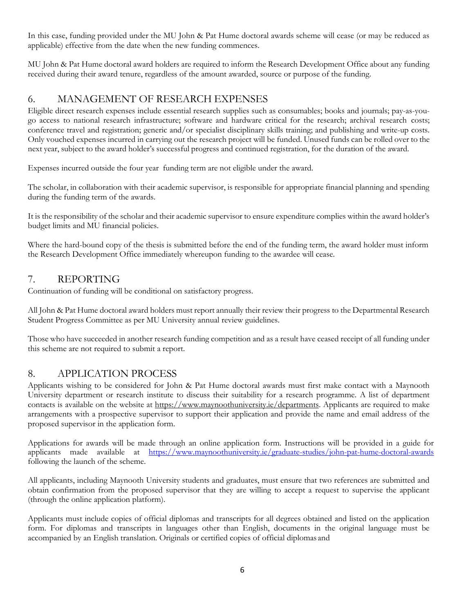In this case, funding provided under the MU John & Pat Hume doctoral awards scheme will cease (or may be reduced as applicable) effective from the date when the new funding commences.

MU John & Pat Hume doctoral award holders are required to inform the Research Development Office about any funding received during their award tenure, regardless of the amount awarded, source or purpose of the funding.

# 6. MANAGEMENT OF RESEARCH EXPENSES

Eligible direct research expenses include essential research supplies such as consumables; books and journals; pay-as-yougo access to national research infrastructure; software and hardware critical for the research; archival research costs; conference travel and registration; generic and/or specialist disciplinary skills training; and publishing and write-up costs. Only vouched expenses incurred in carrying out the research project will be funded. Unused funds can be rolled over to the next year, subject to the award holder's successful progress and continued registration, for the duration of the award.

Expenses incurred outside the four year funding term are not eligible under the award.

The scholar, in collaboration with their academic supervisor, is responsible for appropriate financial planning and spending during the funding term of the awards.

It is the responsibility of the scholar and their academic supervisor to ensure expenditure complies within the award holder's budget limits and MU financial policies.

Where the hard-bound copy of the thesis is submitted before the end of the funding term, the award holder must inform the Research Development Office immediately whereupon funding to the awardee will cease.

### 7. REPORTING

Continuation of funding will be conditional on satisfactory progress.

All John & Pat Hume doctoral award holders must report annually their review their progress to the Departmental Research Student Progress Committee as per MU University annual review guidelines.

Those who have succeeded in another research funding competition and as a result have ceased receipt of all funding under this scheme are not required to submit a report.

### 8. APPLICATION PROCESS

Applicants wishing to be considered for John & Pat Hume doctoral awards must first make contact with a Maynooth University department or research institute to discuss their suitability for a research programme. A list of department contacts is available on the website at https:/[/www.maynoothuniversity.ie/departments.](http://www.maynoothuniversity.ie/departments) Applicants are required to make arrangements with a prospective supervisor to support their application and provide the name and email address of the proposed supervisor in the application form.

Applications for awards will be made through an online application form. Instructions will be provided in a guide for applicants made available at https://www.maynoothuniversity.ie/graduate-studies/john-pat-hume-doctoral-awards following the launch of the scheme.

All applicants, including Maynooth University students and graduates, must ensure that two references are submitted and obtain confirmation from the proposed supervisor that they are willing to accept a request to supervise the applicant (through the online application platform).

Applicants must include copies of official diplomas and transcripts for all degrees obtained and listed on the application form. For diplomas and transcripts in languages other than English, documents in the original language must be accompanied by an English translation. Originals or certified copies of official diplomas and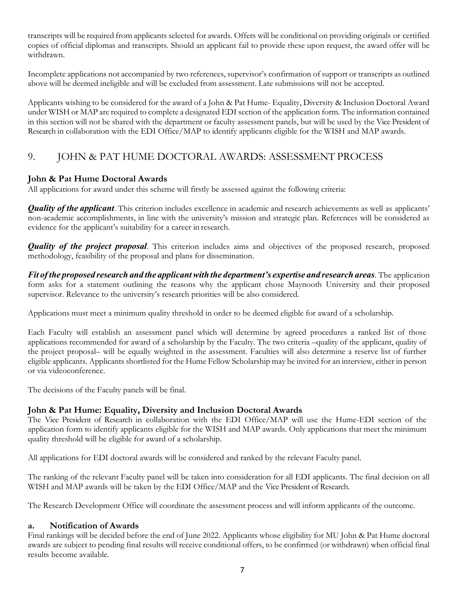transcripts will be required from applicants selected for awards. Offers will be conditional on providing originals or certified copies of official diplomas and transcripts. Should an applicant fail to provide these upon request, the award offer will be withdrawn.

Incomplete applications not accompanied by two references, supervisor's confirmation of support or transcripts as outlined above will be deemed ineligible and will be excluded from assessment. Late submissions will not be accepted.

Applicants wishing to be considered for the award of a John & Pat Hume- Equality, Diversity & Inclusion Doctoral Award under WISH or MAP are required to complete a designated EDI section of the application form. The information contained in this section will not be shared with the department or faculty assessment panels, but will be used by the Vice President of Research in collaboration with the EDI Office/MAP to identify applicants eligible for the WISH and MAP awards.

# 9. JOHN & PAT HUME DOCTORAL AWARDS: ASSESSMENT PROCESS

#### **John & Pat Hume Doctoral Awards**

All applications for award under this scheme will firstly be assessed against the following criteria:

*Quality of the applicant*. This criterion includes excellence in academic and research achievements as well as applicants' non-academic accomplishments, in line with the university's mission and strategic plan. References will be considered as evidence for the applicant's suitability for a career in research.

*Quality of the project proposal*. This criterion includes aims and objectives of the proposed research, proposed methodology, feasibility of the proposal and plans for dissemination.

*Fit of the proposed research and the applicantwith the department's expertise and research areas*. The application form asks for a statement outlining the reasons why the applicant chose Maynooth University and their proposed supervisor. Relevance to the university's research priorities will be also considered.

Applications must meet a minimum quality threshold in order to be deemed eligible for award of a scholarship.

Each Faculty will establish an assessment panel which will determine by agreed procedures a ranked list of those applications recommended for award of a scholarship by the Faculty. The two criteria –quality of the applicant, quality of the project proposal– will be equally weighted in the assessment. Faculties will also determine a reserve list of further eligible applicants. Applicants shortlisted for the Hume Fellow Scholarship may be invited for an interview, either in person or via videoconference.

The decisions of the Faculty panels will be final.

#### **John & Pat Hume: Equality, Diversity and Inclusion Doctoral Awards**

The Vice President of Research in collaboration with the EDI Office/MAP will use the Hume-EDI section of the application form to identify applicants eligible for the WISH and MAP awards. Only applications that meet the minimum quality threshold will be eligible for award of a scholarship.

All applications for EDI doctoral awards will be considered and ranked by the relevant Faculty panel.

The ranking of the relevant Faculty panel will be taken into consideration for all EDI applicants. The final decision on all WISH and MAP awards will be taken by the EDI Office/MAP and the Vice President of Research.

The Research Development Office will coordinate the assessment process and will inform applicants of the outcome.

#### **a. Notification of Awards**

Final rankings will be decided before the end of June 2022. Applicants whose eligibility for MU John & Pat Hume doctoral awards are subject to pending final results will receive conditional offers, to be confirmed (or withdrawn) when official final results become available.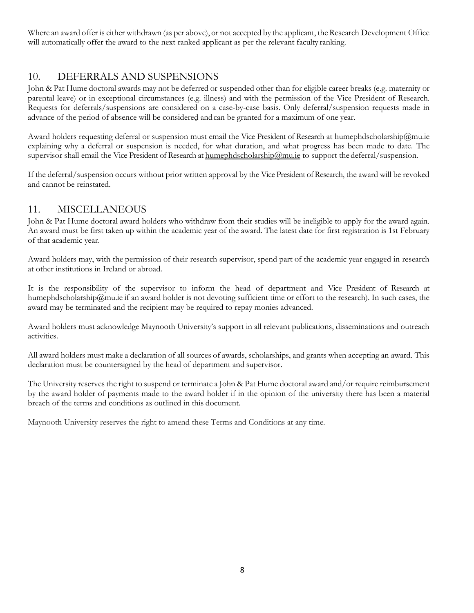Where an award offer is either withdrawn (as per above), or not accepted by the applicant, the Research Development Office will automatically offer the award to the next ranked applicant as per the relevant faculty ranking.

# 10. DEFERRALS AND SUSPENSIONS

John & Pat Hume doctoral awards may not be deferred or suspended other than for eligible career breaks (e.g. maternity or parental leave) or in exceptional circumstances (e.g. illness) and with the permission of the Vice President of Research. Requests for deferrals/suspensions are considered on a case-by-case basis. Only deferral/suspension requests made in advance of the period of absence will be considered andcan be granted for a maximum of one year.

Award holders requesting deferral or suspension must email the Vice President of Research at humephdscholarship@mu.ie explaining why a deferral or suspension is needed, for what duration, and what progress has been made to date. The supervisor shall email the Vice President of Research at humephdscholarship@mu.ie to support the deferral/suspension.

If the deferral/suspension occurs without prior written approval by the Vice President of Research, the award will be revoked and cannot be reinstated.

# 11. MISCELLANEOUS

John & Pat Hume doctoral award holders who withdraw from their studies will be ineligible to apply for the award again. An award must be first taken up within the academic year of the award. The latest date for first registration is 1st February of that academic year.

Award holders may, with the permission of their research supervisor, spend part of the academic year engaged in research at other institutions in Ireland or abroad.

It is the responsibility of the supervisor to inform the head of department and Vice President of Research at humephdscholarship@mu.ie if an award holder is not devoting sufficient time or effort to the research). In such cases, the award may be terminated and the recipient may be required to repay monies advanced.

Award holders must acknowledge Maynooth University's support in all relevant publications, disseminations and outreach activities.

All award holders must make a declaration of all sources of awards, scholarships, and grants when accepting an award. This declaration must be countersigned by the head of department and supervisor.

The University reserves the right to suspend or terminate a John & Pat Hume doctoral award and/or require reimbursement by the award holder of payments made to the award holder if in the opinion of the university there has been a material breach of the terms and conditions as outlined in this document.

Maynooth University reserves the right to amend these Terms and Conditions at any time.